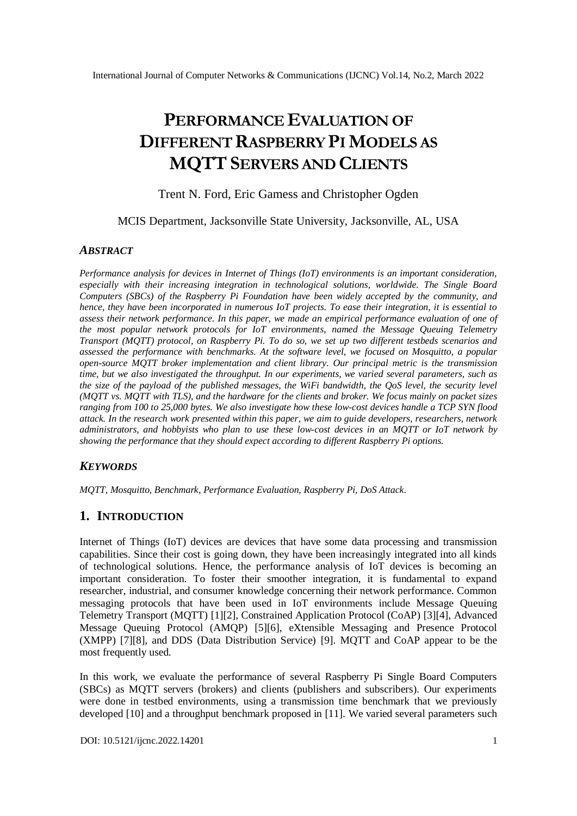# **PERFORMANCE EVALUATION OF DIFFERENT RASPBERRY PI MODELS AS MQTTSERVERS AND CLIENTS**

Trent N. Ford, Eric Gamess and Christopher Ogden

#### MCIS Department, Jacksonville State University, Jacksonville, AL, USA

#### *ABSTRACT*

*Performance analysis for devices in Internet of Things (IoT) environments is an important consideration, especially with their increasing integration in technological solutions, worldwide. The Single Board Computers (SBCs) of the Raspberry Pi Foundation have been widely accepted by the community, and hence, they have been incorporated in numerous IoT projects. To ease their integration, it is essential to assess their network performance. In this paper, we made an empirical performance evaluation of one of the most popular network protocols for IoT environments, named the Message Queuing Telemetry Transport (MQTT) protocol, on Raspberry Pi. To do so, we set up two different testbeds scenarios and assessed the performance with benchmarks. At the software level, we focused on Mosquitto, a popular open-source MQTT broker implementation and client library. Our principal metric is the transmission time, but we also investigated the throughput. In our experiments, we varied several parameters, such as the size of the payload of the published messages, the WiFi bandwidth, the QoS level, the security level (MQTT vs. MQTT with TLS), and the hardware for the clients and broker. We focus mainly on packet sizes ranging from 100 to 25,000 bytes. We also investigate how these low-cost devices handle a TCP SYN flood attack. In the research work presented within this paper, we aim to guide developers, researchers, network administrators, and hobbyists who plan to use these low-cost devices in an MQTT or IoT network by showing the performance that they should expect according to different Raspberry Pi options.*

#### *KEYWORDS*

*MQTT, Mosquitto, Benchmark, Performance Evaluation, Raspberry Pi, DoS Attack.*

## **1. INTRODUCTION**

Internet of Things (IoT) devices are devices that have some data processing and transmission capabilities. Since their cost is going down, they have been increasingly integrated into all kinds of technological solutions. Hence, the performance analysis of IoT devices is becoming an important consideration. To foster their smoother integration, it is fundamental to expand researcher, industrial, and consumer knowledge concerning their network performance. Common messaging protocols that have been used in IoT environments include Message Queuing Telemetry Transport (MQTT) [1][2], Constrained Application Protocol (CoAP) [3][4], Advanced Message Queuing Protocol (AMQP) [5][6], eXtensible Messaging and Presence Protocol (XMPP) [7][8], and DDS (Data Distribution Service) [9]. MQTT and CoAP appear to be the most frequently used.

In this work, we evaluate the performance of several Raspberry Pi Single Board Computers (SBCs) as MQTT servers (brokers) and clients (publishers and subscribers). Our experiments were done in testbed environments, using a transmission time benchmark that we previously developed [10] and a throughput benchmark proposed in [11]. We varied several parameters such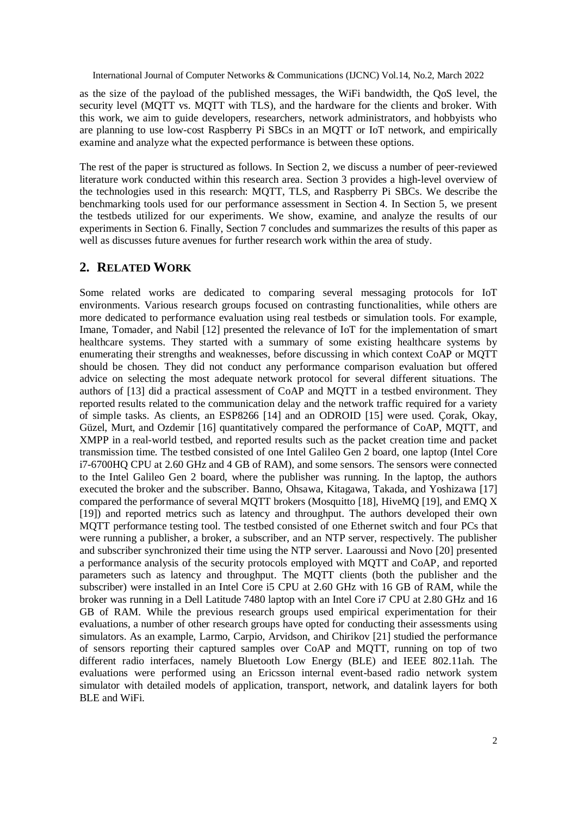as the size of the payload of the published messages, the WiFi bandwidth, the QoS level, the security level (MQTT vs. MQTT with TLS), and the hardware for the clients and broker. With this work, we aim to guide developers, researchers, network administrators, and hobbyists who are planning to use low-cost Raspberry Pi SBCs in an MQTT or IoT network, and empirically examine and analyze what the expected performance is between these options.

The rest of the paper is structured as follows. In Section 2, we discuss a number of peer-reviewed literature work conducted within this research area. Section 3 provides a high-level overview of the technologies used in this research: MQTT, TLS, and Raspberry Pi SBCs. We describe the benchmarking tools used for our performance assessment in Section 4. In Section 5, we present the testbeds utilized for our experiments. We show, examine, and analyze the results of our experiments in Section 6. Finally, Section 7 concludes and summarizes the results of this paper as well as discusses future avenues for further research work within the area of study.

## **2. RELATED WORK**

Some related works are dedicated to comparing several messaging protocols for IoT environments. Various research groups focused on contrasting functionalities, while others are more dedicated to performance evaluation using real testbeds or simulation tools. For example, Imane, Tomader, and Nabil [12] presented the relevance of IoT for the implementation of smart healthcare systems. They started with a summary of some existing healthcare systems by enumerating their strengths and weaknesses, before discussing in which context CoAP or MQTT should be chosen. They did not conduct any performance comparison evaluation but offered advice on selecting the most adequate network protocol for several different situations. The authors of [13] did a practical assessment of CoAP and MQTT in a testbed environment. They reported results related to the communication delay and the network traffic required for a variety of simple tasks. As clients, an ESP8266 [14] and an ODROID [15] were used. Çorak, Okay, Güzel, Murt, and Ozdemir [16] quantitatively compared the performance of CoAP, MQTT, and XMPP in a real-world testbed, and reported results such as the packet creation time and packet transmission time. The testbed consisted of one Intel Galileo Gen 2 board, one laptop (Intel Core i7-6700HQ CPU at 2.60 GHz and 4 GB of RAM), and some sensors. The sensors were connected to the Intel Galileo Gen 2 board, where the publisher was running. In the laptop, the authors executed the broker and the subscriber. Banno, Ohsawa, Kitagawa, Takada, and Yoshizawa [17] compared the performance of several MQTT brokers (Mosquitto [18], HiveMQ [19], and EMQ X [19]) and reported metrics such as latency and throughput. The authors developed their own MQTT performance testing tool. The testbed consisted of one Ethernet switch and four PCs that were running a publisher, a broker, a subscriber, and an NTP server, respectively. The publisher and subscriber synchronized their time using the NTP server. Laaroussi and Novo [20] presented a performance analysis of the security protocols employed with MQTT and CoAP, and reported parameters such as latency and throughput. The MQTT clients (both the publisher and the subscriber) were installed in an Intel Core i5 CPU at 2.60 GHz with 16 GB of RAM, while the broker was running in a Dell Latitude 7480 laptop with an Intel Core i7 CPU at 2.80 GHz and 16 GB of RAM. While the previous research groups used empirical experimentation for their evaluations, a number of other research groups have opted for conducting their assessments using simulators. As an example, Larmo, Carpio, Arvidson, and Chirikov [21] studied the performance of sensors reporting their captured samples over CoAP and MQTT, running on top of two different radio interfaces, namely Bluetooth Low Energy (BLE) and IEEE 802.11ah. The evaluations were performed using an Ericsson internal event-based radio network system simulator with detailed models of application, transport, network, and datalink layers for both BLE and WiFi.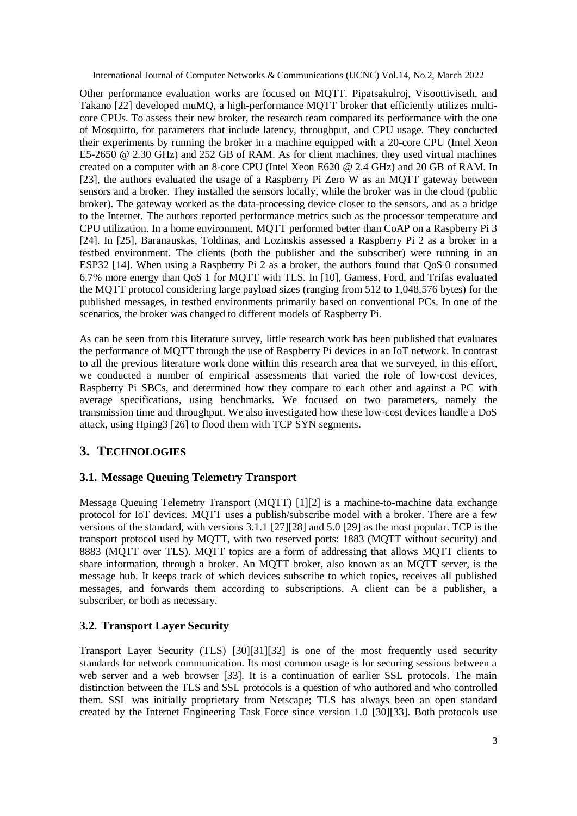Other performance evaluation works are focused on MQTT. Pipatsakulroj, Visoottiviseth, and Takano [22] developed muMQ, a high-performance MQTT broker that efficiently utilizes multicore CPUs. To assess their new broker, the research team compared its performance with the one of Mosquitto, for parameters that include latency, throughput, and CPU usage. They conducted their experiments by running the broker in a machine equipped with a 20-core CPU (Intel Xeon E5-2650 @ 2.30 GHz) and 252 GB of RAM. As for client machines, they used virtual machines created on a computer with an 8-core CPU (Intel Xeon E620 @ 2.4 GHz) and 20 GB of RAM. In [23], the authors evaluated the usage of a Raspberry Pi Zero W as an MQTT gateway between sensors and a broker. They installed the sensors locally, while the broker was in the cloud (public broker). The gateway worked as the data-processing device closer to the sensors, and as a bridge to the Internet. The authors reported performance metrics such as the processor temperature and CPU utilization. In a home environment, MQTT performed better than CoAP on a Raspberry Pi 3 [24]. In [25], Baranauskas, Toldinas, and Lozinskis assessed a Raspberry Pi 2 as a broker in a testbed environment. The clients (both the publisher and the subscriber) were running in an ESP32 [14]. When using a Raspberry Pi 2 as a broker, the authors found that QoS 0 consumed 6.7% more energy than QoS 1 for MQTT with TLS. In [10], Gamess, Ford, and Trifas evaluated the MQTT protocol considering large payload sizes (ranging from 512 to 1,048,576 bytes) for the published messages, in testbed environments primarily based on conventional PCs. In one of the scenarios, the broker was changed to different models of Raspberry Pi.

As can be seen from this literature survey, little research work has been published that evaluates the performance of MQTT through the use of Raspberry Pi devices in an IoT network. In contrast to all the previous literature work done within this research area that we surveyed, in this effort, we conducted a number of empirical assessments that varied the role of low-cost devices, Raspberry Pi SBCs, and determined how they compare to each other and against a PC with average specifications, using benchmarks. We focused on two parameters, namely the transmission time and throughput. We also investigated how these low-cost devices handle a DoS attack, using Hping3 [26] to flood them with TCP SYN segments.

# **3. TECHNOLOGIES**

## **3.1. Message Queuing Telemetry Transport**

Message Queuing Telemetry Transport (MQTT) [1][2] is a machine-to-machine data exchange protocol for IoT devices. MQTT uses a publish/subscribe model with a broker. There are a few versions of the standard, with versions 3.1.1 [27][28] and 5.0 [29] as the most popular. TCP is the transport protocol used by MQTT, with two reserved ports: 1883 (MQTT without security) and 8883 (MQTT over TLS). MQTT topics are a form of addressing that allows MQTT clients to share information, through a broker. An MQTT broker, also known as an MQTT server, is the message hub. It keeps track of which devices subscribe to which topics, receives all published messages, and forwards them according to subscriptions. A client can be a publisher, a subscriber, or both as necessary.

# **3.2. Transport Layer Security**

Transport Layer Security (TLS) [30][31][32] is one of the most frequently used security standards for network communication. Its most common usage is for securing sessions between a web server and a web browser [33]. It is a continuation of earlier SSL protocols. The main distinction between the TLS and SSL protocols is a question of who authored and who controlled them. SSL was initially proprietary from Netscape; TLS has always been an open standard created by the Internet Engineering Task Force since version 1.0 [30][33]. Both protocols use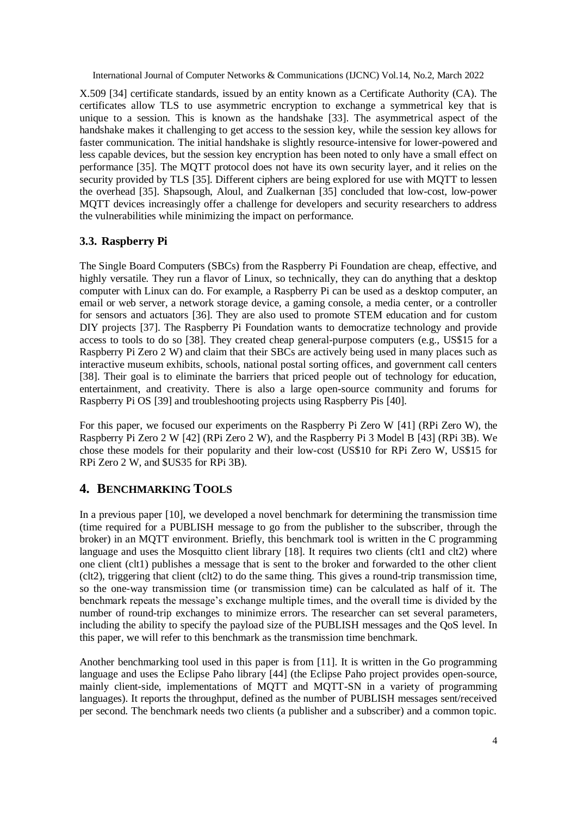X.509 [34] certificate standards, issued by an entity known as a Certificate Authority (CA). The certificates allow TLS to use asymmetric encryption to exchange a symmetrical key that is unique to a session. This is known as the handshake [33]. The asymmetrical aspect of the handshake makes it challenging to get access to the session key, while the session key allows for faster communication. The initial handshake is slightly resource-intensive for lower-powered and less capable devices, but the session key encryption has been noted to only have a small effect on performance [35]. The MQTT protocol does not have its own security layer, and it relies on the security provided by TLS [35]. Different ciphers are being explored for use with MQTT to lessen the overhead [35]. Shapsough, Aloul, and Zualkernan [35] concluded that low-cost, low-power MQTT devices increasingly offer a challenge for developers and security researchers to address the vulnerabilities while minimizing the impact on performance.

## **3.3. Raspberry Pi**

The Single Board Computers (SBCs) from the Raspberry Pi Foundation are cheap, effective, and highly versatile. They run a flavor of Linux, so technically, they can do anything that a desktop computer with Linux can do. For example, a Raspberry Pi can be used as a desktop computer, an email or web server, a network storage device, a gaming console, a media center, or a controller for sensors and actuators [36]. They are also used to promote STEM education and for custom DIY projects [37]. The Raspberry Pi Foundation wants to democratize technology and provide access to tools to do so [38]. They created cheap general-purpose computers (e.g., US\$15 for a Raspberry Pi Zero 2 W) and claim that their SBCs are actively being used in many places such as interactive museum exhibits, schools, national postal sorting offices, and government call centers [38]. Their goal is to eliminate the barriers that priced people out of technology for education, entertainment, and creativity. There is also a large open-source community and forums for Raspberry Pi OS [39] and troubleshooting projects using Raspberry Pis [40].

For this paper, we focused our experiments on the Raspberry Pi Zero W [41] (RPi Zero W), the Raspberry Pi Zero 2 W [42] (RPi Zero 2 W), and the Raspberry Pi 3 Model B [43] (RPi 3B). We chose these models for their popularity and their low-cost (US\$10 for RPi Zero W, US\$15 for RPi Zero 2 W, and \$US35 for RPi 3B).

# **4. BENCHMARKING TOOLS**

In a previous paper [10], we developed a novel benchmark for determining the transmission time (time required for a PUBLISH message to go from the publisher to the subscriber, through the broker) in an MQTT environment. Briefly, this benchmark tool is written in the C programming language and uses the Mosquitto client library [18]. It requires two clients (clt1 and clt2) where one client (clt1) publishes a message that is sent to the broker and forwarded to the other client (clt2), triggering that client (clt2) to do the same thing. This gives a round-trip transmission time, so the one-way transmission time (or transmission time) can be calculated as half of it. The benchmark repeats the message's exchange multiple times, and the overall time is divided by the number of round-trip exchanges to minimize errors. The researcher can set several parameters, including the ability to specify the payload size of the PUBLISH messages and the QoS level. In this paper, we will refer to this benchmark as the transmission time benchmark.

Another benchmarking tool used in this paper is from [11]. It is written in the Go programming language and uses the Eclipse Paho library [44] (the Eclipse Paho project provides open-source, mainly client-side, implementations of MQTT and MQTT-SN in a variety of programming languages). It reports the throughput, defined as the number of PUBLISH messages sent/received per second. The benchmark needs two clients (a publisher and a subscriber) and a common topic.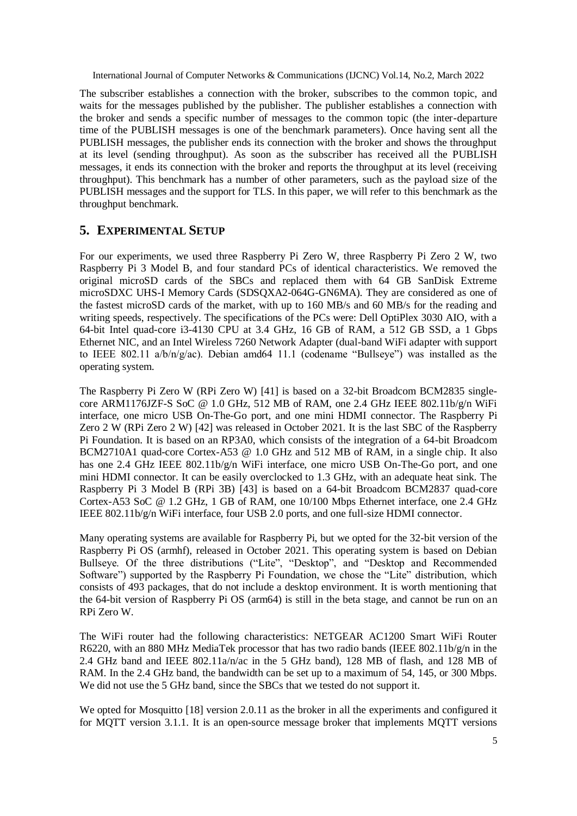The subscriber establishes a connection with the broker, subscribes to the common topic, and waits for the messages published by the publisher. The publisher establishes a connection with the broker and sends a specific number of messages to the common topic (the inter-departure time of the PUBLISH messages is one of the benchmark parameters). Once having sent all the PUBLISH messages, the publisher ends its connection with the broker and shows the throughput at its level (sending throughput). As soon as the subscriber has received all the PUBLISH messages, it ends its connection with the broker and reports the throughput at its level (receiving throughput). This benchmark has a number of other parameters, such as the payload size of the PUBLISH messages and the support for TLS. In this paper, we will refer to this benchmark as the throughput benchmark.

## **5. EXPERIMENTAL SETUP**

For our experiments, we used three Raspberry Pi Zero W, three Raspberry Pi Zero 2 W, two Raspberry Pi 3 Model B, and four standard PCs of identical characteristics. We removed the original microSD cards of the SBCs and replaced them with 64 GB SanDisk Extreme microSDXC UHS-I Memory Cards (SDSQXA2-064G-GN6MA). They are considered as one of the fastest microSD cards of the market, with up to 160 MB/s and 60 MB/s for the reading and writing speeds, respectively. The specifications of the PCs were: Dell OptiPlex 3030 AIO, with a 64-bit Intel quad-core i3-4130 CPU at 3.4 GHz, 16 GB of RAM, a 512 GB SSD, a 1 Gbps Ethernet NIC, and an Intel Wireless 7260 Network Adapter (dual-band WiFi adapter with support to IEEE 802.11 a/b/n/g/ac). Debian amd64 11.1 (codename "Bullseye") was installed as the operating system.

The Raspberry Pi Zero W (RPi Zero W) [41] is based on a 32-bit Broadcom BCM2835 singlecore ARM1176JZF-S SoC @ 1.0 GHz, 512 MB of RAM, one 2.4 GHz IEEE 802.11b/g/n WiFi interface, one micro USB On-The-Go port, and one mini HDMI connector. The Raspberry Pi Zero 2 W (RPi Zero 2 W) [42] was released in October 2021. It is the last SBC of the Raspberry Pi Foundation. It is based on an RP3A0, which consists of the integration of a 64-bit Broadcom BCM2710A1 quad-core Cortex-A53 @ 1.0 GHz and 512 MB of RAM, in a single chip. It also has one 2.4 GHz IEEE 802.11b/g/n WiFi interface, one micro USB On-The-Go port, and one mini HDMI connector. It can be easily overclocked to 1.3 GHz, with an adequate heat sink. The Raspberry Pi 3 Model B (RPi 3B) [43] is based on a 64-bit Broadcom BCM2837 quad-core Cortex-A53 SoC @ 1.2 GHz, 1 GB of RAM, one 10/100 Mbps Ethernet interface, one 2.4 GHz IEEE 802.11b/g/n WiFi interface, four USB 2.0 ports, and one full-size HDMI connector.

Many operating systems are available for Raspberry Pi, but we opted for the 32-bit version of the Raspberry Pi OS (armhf), released in October 2021. This operating system is based on Debian Bullseye. Of the three distributions ("Lite", "Desktop", and "Desktop and Recommended Software") supported by the Raspberry Pi Foundation, we chose the "Lite" distribution, which consists of 493 packages, that do not include a desktop environment. It is worth mentioning that the 64-bit version of Raspberry Pi OS (arm64) is still in the beta stage, and cannot be run on an RPi Zero W.

The WiFi router had the following characteristics: NETGEAR AC1200 Smart WiFi Router R6220, with an 880 MHz MediaTek processor that has two radio bands (IEEE 802.11b/g/n in the 2.4 GHz band and IEEE  $802.11a/n$  in the 5 GHz band), 128 MB of flash, and 128 MB of RAM. In the 2.4 GHz band, the bandwidth can be set up to a maximum of 54, 145, or 300 Mbps. We did not use the 5 GHz band, since the SBCs that we tested do not support it.

We opted for Mosquitto [18] version 2.0.11 as the broker in all the experiments and configured it for MQTT version 3.1.1. It is an open-source message broker that implements MQTT versions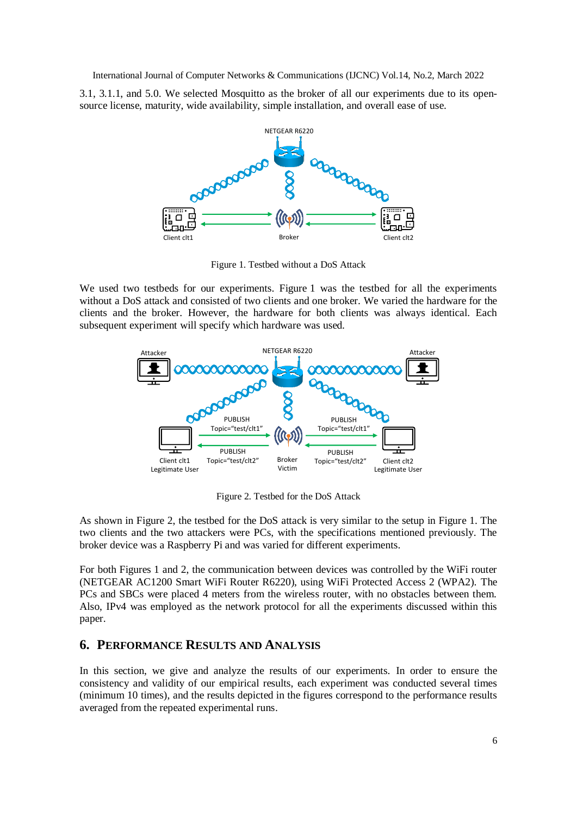3.1, 3.1.1, and 5.0. We selected Mosquitto as the broker of all our experiments due to its opensource license, maturity, wide availability, simple installation, and overall ease of use.



Figure 1. Testbed without a DoS Attack

We used two testbeds for our experiments. Figure 1 was the testbed for all the experiments without a DoS attack and consisted of two clients and one broker. We varied the hardware for the clients and the broker. However, the hardware for both clients was always identical. Each subsequent experiment will specify which hardware was used.



Figure 2. Testbed for the DoS Attack

As shown in Figure 2, the testbed for the DoS attack is very similar to the setup in Figure 1. The two clients and the two attackers were PCs, with the specifications mentioned previously. The broker device was a Raspberry Pi and was varied for different experiments.

For both Figures 1 and 2, the communication between devices was controlled by the WiFi router (NETGEAR AC1200 Smart WiFi Router R6220), using WiFi Protected Access 2 (WPA2). The PCs and SBCs were placed 4 meters from the wireless router, with no obstacles between them. Also, IPv4 was employed as the network protocol for all the experiments discussed within this paper.

## **6. PERFORMANCE RESULTS AND ANALYSIS**

In this section, we give and analyze the results of our experiments. In order to ensure the consistency and validity of our empirical results, each experiment was conducted several times (minimum 10 times), and the results depicted in the figures correspond to the performance results averaged from the repeated experimental runs.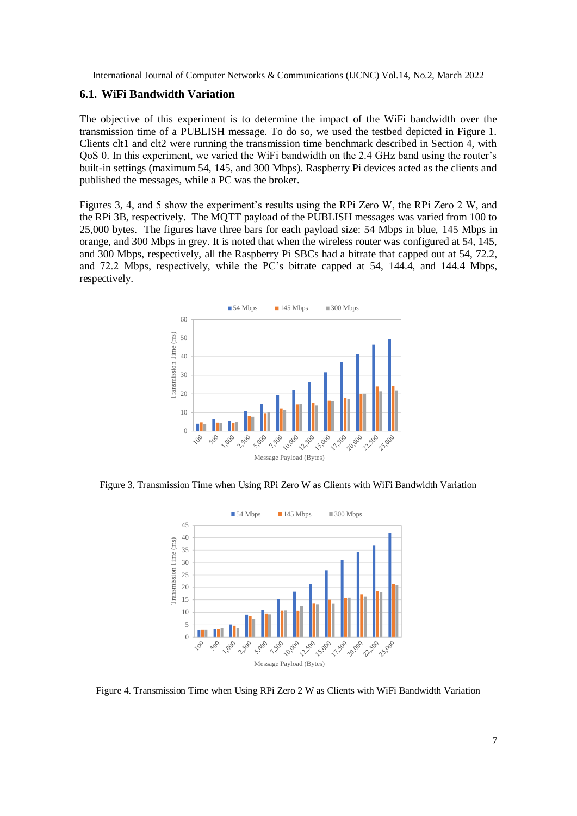#### **6.1. WiFi Bandwidth Variation**

The objective of this experiment is to determine the impact of the WiFi bandwidth over the transmission time of a PUBLISH message. To do so, we used the testbed depicted in Figure 1. Clients clt1 and clt2 were running the transmission time benchmark described in Section 4, with QoS 0. In this experiment, we varied the WiFi bandwidth on the 2.4 GHz band using the router's built-in settings (maximum 54, 145, and 300 Mbps). Raspberry Pi devices acted as the clients and published the messages, while a PC was the broker.

Figures 3, 4, and 5 show the experiment's results using the RPi Zero W, the RPi Zero 2 W, and the RPi 3B, respectively. The MQTT payload of the PUBLISH messages was varied from 100 to 25,000 bytes. The figures have three bars for each payload size: 54 Mbps in blue, 145 Mbps in orange, and 300 Mbps in grey. It is noted that when the wireless router was configured at 54, 145, and 300 Mbps, respectively, all the Raspberry Pi SBCs had a bitrate that capped out at 54, 72.2, and 72.2 Mbps, respectively, while the PC's bitrate capped at 54, 144.4, and 144.4 Mbps, respectively.



Figure 3. Transmission Time when Using RPi Zero W as Clients with WiFi Bandwidth Variation



Figure 4. Transmission Time when Using RPi Zero 2 W as Clients with WiFi Bandwidth Variation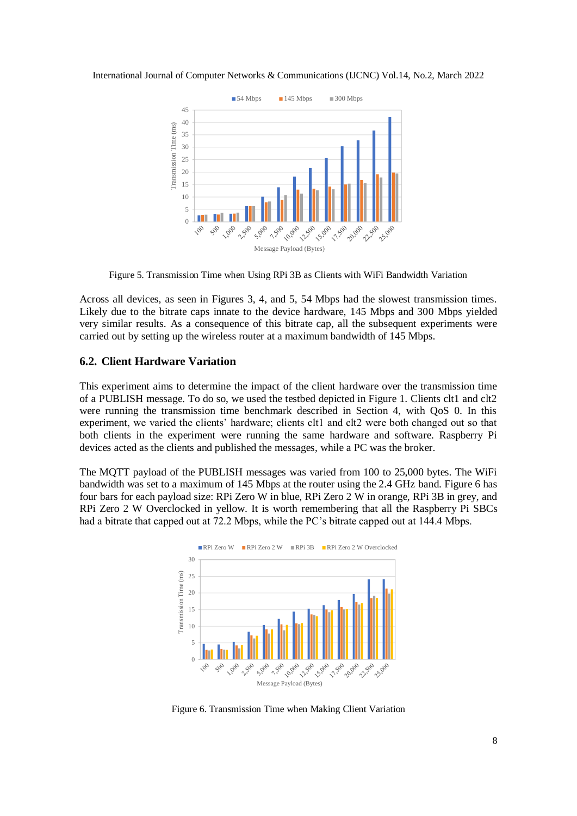

Figure 5. Transmission Time when Using RPi 3B as Clients with WiFi Bandwidth Variation

Across all devices, as seen in Figures 3, 4, and 5, 54 Mbps had the slowest transmission times. Likely due to the bitrate caps innate to the device hardware, 145 Mbps and 300 Mbps yielded very similar results. As a consequence of this bitrate cap, all the subsequent experiments were carried out by setting up the wireless router at a maximum bandwidth of 145 Mbps.

#### **6.2. Client Hardware Variation**

This experiment aims to determine the impact of the client hardware over the transmission time of a PUBLISH message. To do so, we used the testbed depicted in Figure 1. Clients clt1 and clt2 were running the transmission time benchmark described in Section 4, with QoS 0. In this experiment, we varied the clients' hardware; clients clt1 and clt2 were both changed out so that both clients in the experiment were running the same hardware and software. Raspberry Pi devices acted as the clients and published the messages, while a PC was the broker.

The MQTT payload of the PUBLISH messages was varied from 100 to 25,000 bytes. The WiFi bandwidth was set to a maximum of 145 Mbps at the router using the 2.4 GHz band. Figure 6 has four bars for each payload size: RPi Zero W in blue, RPi Zero 2 W in orange, RPi 3B in grey, and RPi Zero 2 W Overclocked in yellow. It is worth remembering that all the Raspberry Pi SBCs had a bitrate that capped out at 72.2 Mbps, while the PC's bitrate capped out at 144.4 Mbps.



Figure 6. Transmission Time when Making Client Variation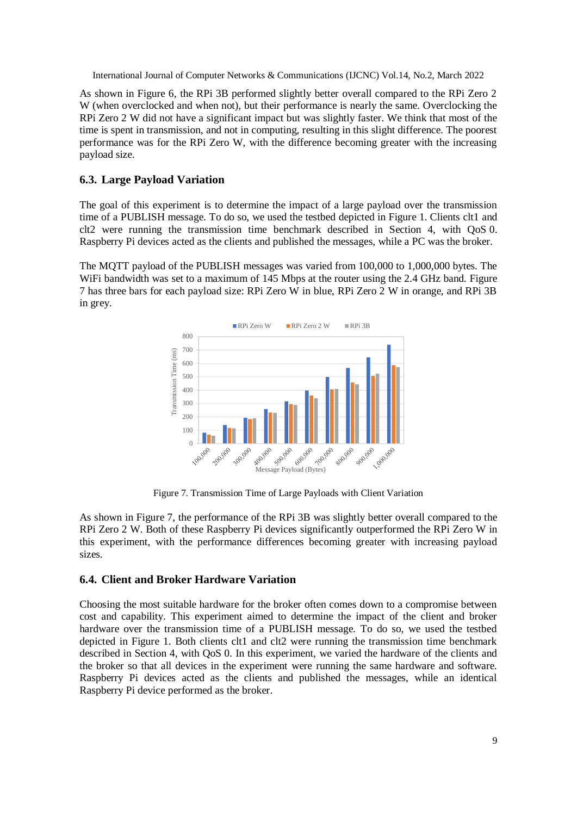As shown in Figure 6, the RPi 3B performed slightly better overall compared to the RPi Zero 2 W (when overclocked and when not), but their performance is nearly the same. Overclocking the RPi Zero 2 W did not have a significant impact but was slightly faster. We think that most of the time is spent in transmission, and not in computing, resulting in this slight difference. The poorest performance was for the RPi Zero W, with the difference becoming greater with the increasing payload size.

## **6.3. Large Payload Variation**

The goal of this experiment is to determine the impact of a large payload over the transmission time of a PUBLISH message. To do so, we used the testbed depicted in Figure 1. Clients clt1 and clt2 were running the transmission time benchmark described in Section 4, with QoS 0. Raspberry Pi devices acted as the clients and published the messages, while a PC was the broker.

The MQTT payload of the PUBLISH messages was varied from 100,000 to 1,000,000 bytes. The WiFi bandwidth was set to a maximum of 145 Mbps at the router using the 2.4 GHz band. Figure 7 has three bars for each payload size: RPi Zero W in blue, RPi Zero 2 W in orange, and RPi 3B in grey.



Figure 7. Transmission Time of Large Payloads with Client Variation

As shown in Figure 7, the performance of the RPi 3B was slightly better overall compared to the RPi Zero 2 W. Both of these Raspberry Pi devices significantly outperformed the RPi Zero W in this experiment, with the performance differences becoming greater with increasing payload sizes.

## **6.4. Client and Broker Hardware Variation**

Choosing the most suitable hardware for the broker often comes down to a compromise between cost and capability. This experiment aimed to determine the impact of the client and broker hardware over the transmission time of a PUBLISH message. To do so, we used the testbed depicted in Figure 1. Both clients clt1 and clt2 were running the transmission time benchmark described in Section 4, with QoS 0. In this experiment, we varied the hardware of the clients and the broker so that all devices in the experiment were running the same hardware and software. Raspberry Pi devices acted as the clients and published the messages, while an identical Raspberry Pi device performed as the broker.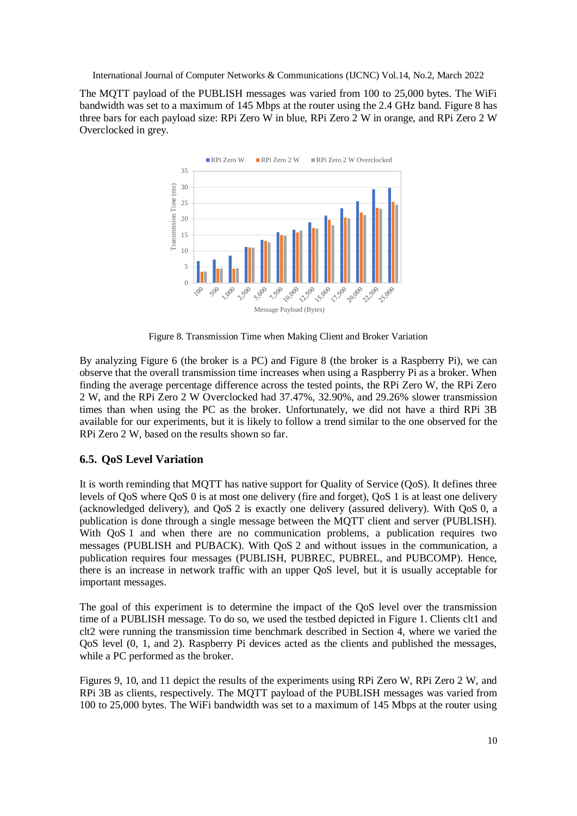The MQTT payload of the PUBLISH messages was varied from 100 to 25,000 bytes. The WiFi bandwidth was set to a maximum of 145 Mbps at the router using the 2.4 GHz band. Figure 8 has three bars for each payload size: RPi Zero W in blue, RPi Zero 2 W in orange, and RPi Zero 2 W Overclocked in grey.



Figure 8. Transmission Time when Making Client and Broker Variation

By analyzing Figure 6 (the broker is a PC) and Figure 8 (the broker is a Raspberry Pi), we can observe that the overall transmission time increases when using a Raspberry Pi as a broker. When finding the average percentage difference across the tested points, the RPi Zero W, the RPi Zero 2 W, and the RPi Zero 2 W Overclocked had 37.47%, 32.90%, and 29.26% slower transmission times than when using the PC as the broker. Unfortunately, we did not have a third RPi 3B available for our experiments, but it is likely to follow a trend similar to the one observed for the RPi Zero 2 W, based on the results shown so far.

## **6.5. QoS Level Variation**

It is worth reminding that MQTT has native support for Quality of Service (QoS). It defines three levels of QoS where QoS 0 is at most one delivery (fire and forget), QoS 1 is at least one delivery (acknowledged delivery), and QoS 2 is exactly one delivery (assured delivery). With QoS 0, a publication is done through a single message between the MQTT client and server (PUBLISH). With QoS 1 and when there are no communication problems, a publication requires two messages (PUBLISH and PUBACK). With QoS 2 and without issues in the communication, a publication requires four messages (PUBLISH, PUBREC, PUBREL, and PUBCOMP). Hence, there is an increase in network traffic with an upper QoS level, but it is usually acceptable for important messages.

The goal of this experiment is to determine the impact of the QoS level over the transmission time of a PUBLISH message. To do so, we used the testbed depicted in Figure 1. Clients clt1 and clt2 were running the transmission time benchmark described in Section 4, where we varied the QoS level (0, 1, and 2). Raspberry Pi devices acted as the clients and published the messages, while a PC performed as the broker.

Figures 9, 10, and 11 depict the results of the experiments using RPi Zero W, RPi Zero 2 W, and RPi 3B as clients, respectively. The MQTT payload of the PUBLISH messages was varied from 100 to 25,000 bytes. The WiFi bandwidth was set to a maximum of 145 Mbps at the router using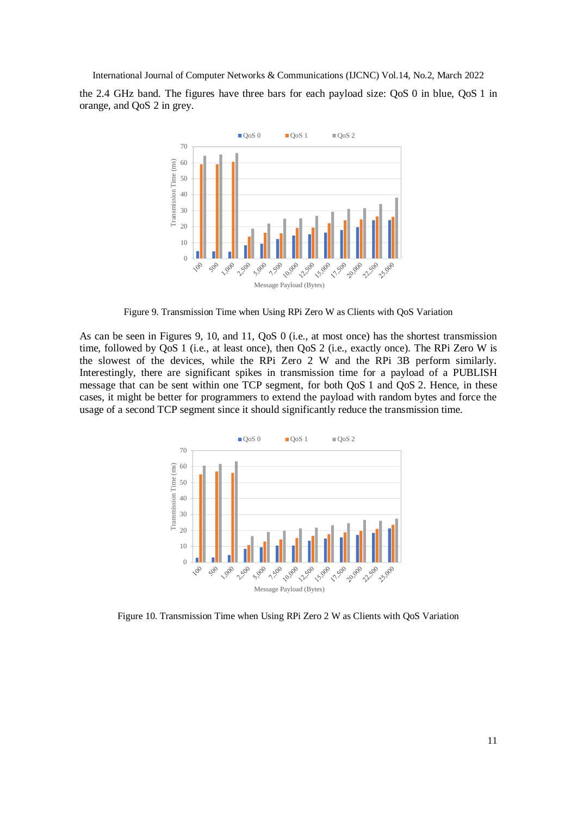the 2.4 GHz band. The figures have three bars for each payload size: QoS 0 in blue, QoS 1 in orange, and QoS 2 in grey.



Figure 9. Transmission Time when Using RPi Zero W as Clients with QoS Variation

As can be seen in Figures 9, 10, and 11, QoS 0 (i.e., at most once) has the shortest transmission time, followed by QoS 1 (i.e., at least once), then QoS 2 (i.e., exactly once). The RPi Zero W is the slowest of the devices, while the RPi Zero 2 W and the RPi 3B perform similarly. Interestingly, there are significant spikes in transmission time for a payload of a PUBLISH message that can be sent within one TCP segment, for both QoS 1 and QoS 2. Hence, in these cases, it might be better for programmers to extend the payload with random bytes and force the usage of a second TCP segment since it should significantly reduce the transmission time.



Figure 10. Transmission Time when Using RPi Zero 2 W as Clients with QoS Variation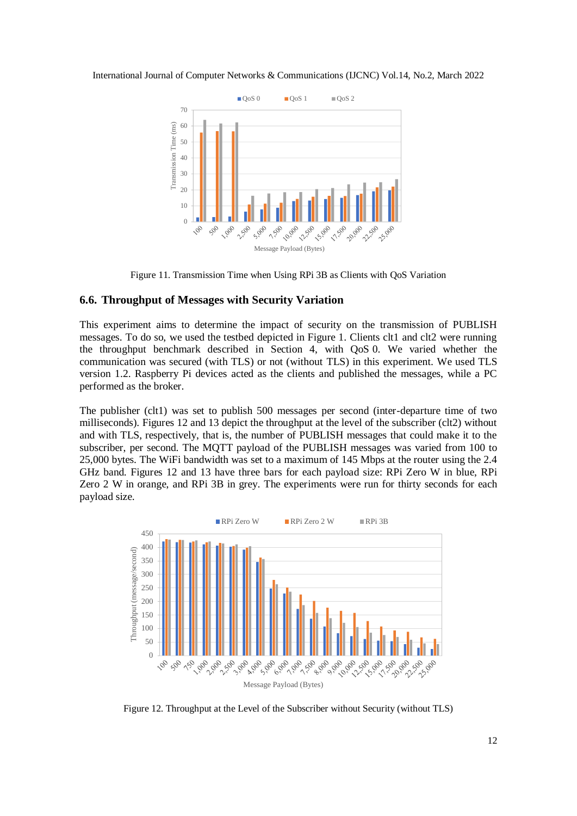

Figure 11. Transmission Time when Using RPi 3B as Clients with QoS Variation

## **6.6. Throughput of Messages with Security Variation**

This experiment aims to determine the impact of security on the transmission of PUBLISH messages. To do so, we used the testbed depicted in Figure 1. Clients clt1 and clt2 were running the throughput benchmark described in Section 4, with QoS 0. We varied whether the communication was secured (with TLS) or not (without TLS) in this experiment. We used TLS version 1.2. Raspberry Pi devices acted as the clients and published the messages, while a PC performed as the broker.

The publisher (clt1) was set to publish 500 messages per second (inter-departure time of two milliseconds). Figures 12 and 13 depict the throughput at the level of the subscriber (clt2) without and with TLS, respectively, that is, the number of PUBLISH messages that could make it to the subscriber, per second. The MQTT payload of the PUBLISH messages was varied from 100 to 25,000 bytes. The WiFi bandwidth was set to a maximum of 145 Mbps at the router using the 2.4 GHz band. Figures 12 and 13 have three bars for each payload size: RPi Zero W in blue, RPi Zero 2 W in orange, and RPi 3B in grey. The experiments were run for thirty seconds for each payload size.



Figure 12. Throughput at the Level of the Subscriber without Security (without TLS)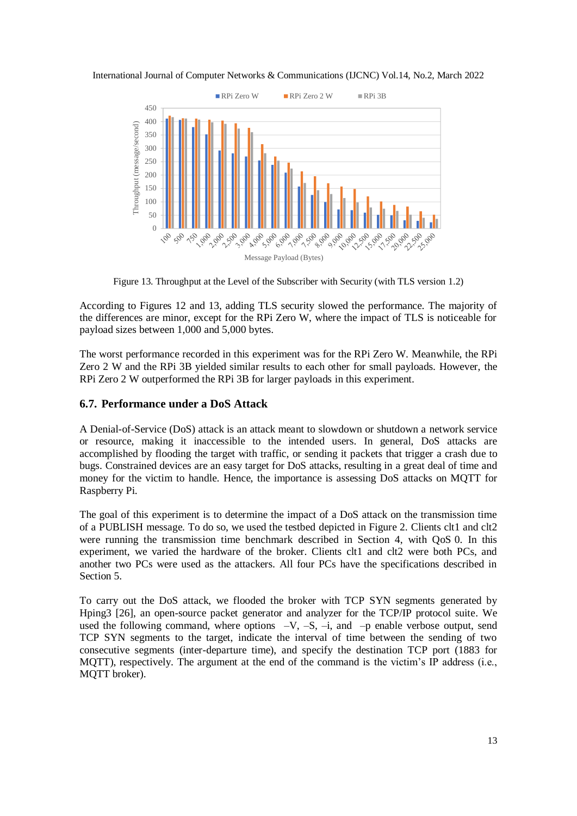

Figure 13. Throughput at the Level of the Subscriber with Security (with TLS version 1.2)

According to Figures 12 and 13, adding TLS security slowed the performance. The majority of the differences are minor, except for the RPi Zero W, where the impact of TLS is noticeable for payload sizes between 1,000 and 5,000 bytes.

The worst performance recorded in this experiment was for the RPi Zero W. Meanwhile, the RPi Zero 2 W and the RPi 3B yielded similar results to each other for small payloads. However, the RPi Zero 2 W outperformed the RPi 3B for larger payloads in this experiment.

## **6.7. Performance under a DoS Attack**

A Denial-of-Service (DoS) attack is an attack meant to slowdown or shutdown a network service or resource, making it inaccessible to the intended users. In general, DoS attacks are accomplished by flooding the target with traffic, or sending it packets that trigger a crash due to bugs. Constrained devices are an easy target for DoS attacks, resulting in a great deal of time and money for the victim to handle. Hence, the importance is assessing DoS attacks on MQTT for Raspberry Pi.

The goal of this experiment is to determine the impact of a DoS attack on the transmission time of a PUBLISH message. To do so, we used the testbed depicted in Figure 2. Clients clt1 and clt2 were running the transmission time benchmark described in Section 4, with QoS 0. In this experiment, we varied the hardware of the broker. Clients clt1 and clt2 were both PCs, and another two PCs were used as the attackers. All four PCs have the specifications described in Section 5.

To carry out the DoS attack, we flooded the broker with TCP SYN segments generated by Hping3 [26], an open-source packet generator and analyzer for the TCP/IP protocol suite. We used the following command, where options  $-V$ ,  $-S$ ,  $-i$ , and  $-p$  enable verbose output, send TCP SYN segments to the target, indicate the interval of time between the sending of two consecutive segments (inter-departure time), and specify the destination TCP port (1883 for MQTT), respectively. The argument at the end of the command is the victim's IP address (i.e., MQTT broker).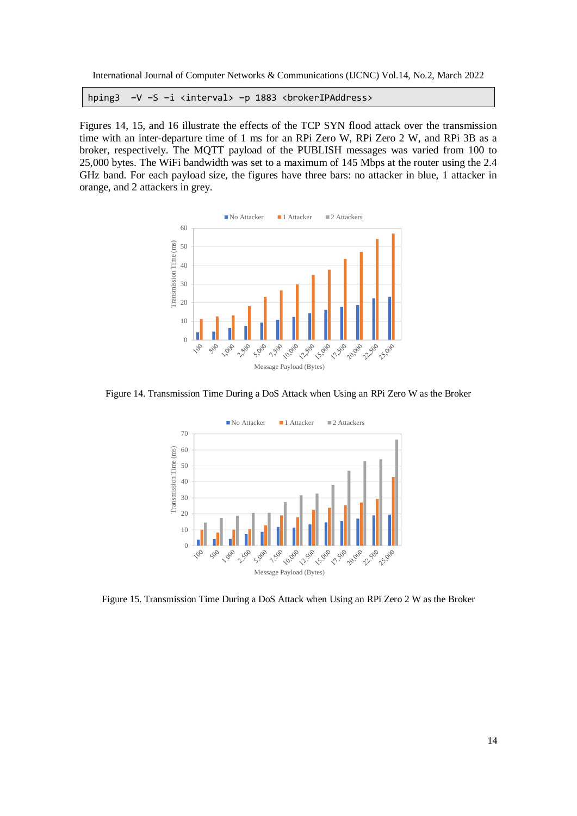hping3 -V -S -i <interval> -p 1883 <br>>brokerIPAddress>

Figures 14, 15, and 16 illustrate the effects of the TCP SYN flood attack over the transmission time with an inter-departure time of 1 ms for an RPi Zero W, RPi Zero 2 W, and RPi 3B as a broker, respectively. The MQTT payload of the PUBLISH messages was varied from 100 to 25,000 bytes. The WiFi bandwidth was set to a maximum of 145 Mbps at the router using the 2.4 GHz band. For each payload size, the figures have three bars: no attacker in blue, 1 attacker in orange, and 2 attackers in grey.



Figure 14. Transmission Time During a DoS Attack when Using an RPi Zero W as the Broker



Figure 15. Transmission Time During a DoS Attack when Using an RPi Zero 2 W as the Broker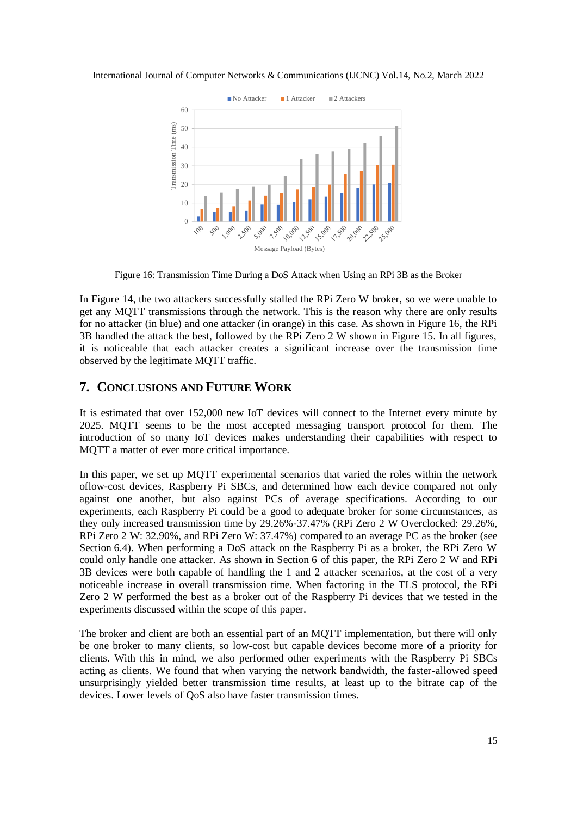

Figure 16: Transmission Time During a DoS Attack when Using an RPi 3B as the Broker

In Figure 14, the two attackers successfully stalled the RPi Zero W broker, so we were unable to get any MQTT transmissions through the network. This is the reason why there are only results for no attacker (in blue) and one attacker (in orange) in this case. As shown in Figure 16, the RPi 3B handled the attack the best, followed by the RPi Zero 2 W shown in Figure 15. In all figures, it is noticeable that each attacker creates a significant increase over the transmission time observed by the legitimate MQTT traffic.

# **7. CONCLUSIONS AND FUTURE WORK**

It is estimated that over 152,000 new IoT devices will connect to the Internet every minute by 2025. MQTT seems to be the most accepted messaging transport protocol for them. The introduction of so many IoT devices makes understanding their capabilities with respect to MQTT a matter of ever more critical importance.

In this paper, we set up MQTT experimental scenarios that varied the roles within the network oflow-cost devices, Raspberry Pi SBCs, and determined how each device compared not only against one another, but also against PCs of average specifications. According to our experiments, each Raspberry Pi could be a good to adequate broker for some circumstances, as they only increased transmission time by 29.26%-37.47% (RPi Zero 2 W Overclocked: 29.26%, RPi Zero 2 W: 32.90%, and RPi Zero W: 37.47%) compared to an average PC as the broker (see Section 6.4). When performing a DoS attack on the Raspberry Pi as a broker, the RPi Zero W could only handle one attacker. As shown in Section 6 of this paper, the RPi Zero 2 W and RPi 3B devices were both capable of handling the 1 and 2 attacker scenarios, at the cost of a very noticeable increase in overall transmission time. When factoring in the TLS protocol, the RPi Zero 2 W performed the best as a broker out of the Raspberry Pi devices that we tested in the experiments discussed within the scope of this paper.

The broker and client are both an essential part of an MQTT implementation, but there will only be one broker to many clients, so low-cost but capable devices become more of a priority for clients. With this in mind, we also performed other experiments with the Raspberry Pi SBCs acting as clients. We found that when varying the network bandwidth, the faster-allowed speed unsurprisingly yielded better transmission time results, at least up to the bitrate cap of the devices. Lower levels of QoS also have faster transmission times.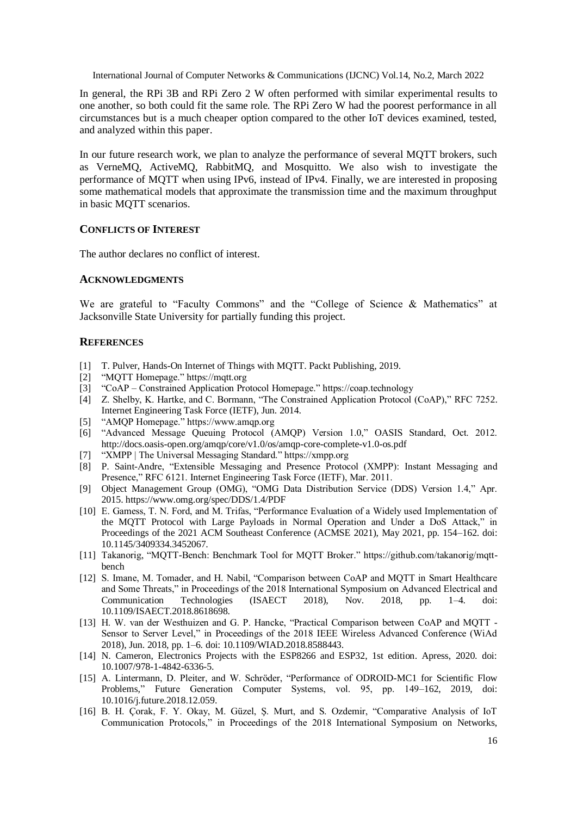In general, the RPi 3B and RPi Zero 2 W often performed with similar experimental results to one another, so both could fit the same role. The RPi Zero W had the poorest performance in all circumstances but is a much cheaper option compared to the other IoT devices examined, tested, and analyzed within this paper.

In our future research work, we plan to analyze the performance of several MQTT brokers, such as VerneMQ, ActiveMQ, RabbitMQ, and Mosquitto. We also wish to investigate the performance of MQTT when using IPv6, instead of IPv4. Finally, we are interested in proposing some mathematical models that approximate the transmission time and the maximum throughput in basic MQTT scenarios.

#### **CONFLICTS OF INTEREST**

The author declares no conflict of interest.

#### **ACKNOWLEDGMENTS**

We are grateful to "Faculty Commons" and the "College of Science & Mathematics" at Jacksonville State University for partially funding this project.

#### **REFERENCES**

- [1] T. Pulver, Hands-On Internet of Things with MQTT. Packt Publishing, 2019.
- [2] "MQTT Homepage." https://mqtt.org
- [3] "CoAP Constrained Application Protocol Homepage." https://coap.technology
- [4] Z. Shelby, K. Hartke, and C. Bormann, "The Constrained Application Protocol (CoAP)," RFC 7252. Internet Engineering Task Force (IETF), Jun. 2014.
- [5] "AMQP Homepage." https://www.amqp.org
- [6] "Advanced Message Queuing Protocol (AMQP) Version 1.0," OASIS Standard, Oct. 2012. http://docs.oasis-open.org/amqp/core/v1.0/os/amqp-core-complete-v1.0-os.pdf
- [7] "XMPP | The Universal Messaging Standard." https://xmpp.org
- [8] P. Saint-Andre, "Extensible Messaging and Presence Protocol (XMPP): Instant Messaging and Presence," RFC 6121. Internet Engineering Task Force (IETF), Mar. 2011.
- [9] Object Management Group (OMG), "OMG Data Distribution Service (DDS) Version 1.4," Apr. 2015. https://www.omg.org/spec/DDS/1.4/PDF
- [10] E. Gamess, T. N. Ford, and M. Trifas, "Performance Evaluation of a Widely used Implementation of the MQTT Protocol with Large Payloads in Normal Operation and Under a DoS Attack," in Proceedings of the 2021 ACM Southeast Conference (ACMSE 2021), May 2021, pp. 154–162. doi: 10.1145/3409334.3452067.
- [11] Takanorig, "MQTT-Bench: Benchmark Tool for MQTT Broker." https://github.com/takanorig/mqttbench
- [12] S. Imane, M. Tomader, and H. Nabil, "Comparison between CoAP and MQTT in Smart Healthcare and Some Threats," in Proceedings of the 2018 International Symposium on Advanced Electrical and Communication Technologies (ISAECT 2018), Nov. 2018, pp. 1–4. doi: 10.1109/ISAECT.2018.8618698.
- [13] H. W. van der Westhuizen and G. P. Hancke, "Practical Comparison between CoAP and MQTT Sensor to Server Level," in Proceedings of the 2018 IEEE Wireless Advanced Conference (WiAd 2018), Jun. 2018, pp. 1–6. doi: 10.1109/WIAD.2018.8588443.
- [14] N. Cameron, Electronics Projects with the ESP8266 and ESP32, 1st edition. Apress, 2020. doi: 10.1007/978-1-4842-6336-5.
- [15] A. Lintermann, D. Pleiter, and W. Schröder, "Performance of ODROID-MC1 for Scientific Flow Problems," Future Generation Computer Systems, vol. 95, pp. 149–162, 2019, doi: 10.1016/j.future.2018.12.059.
- [16] B. H. Çorak, F. Y. Okay, M. Güzel, Ş. Murt, and S. Ozdemir, "Comparative Analysis of IoT Communication Protocols," in Proceedings of the 2018 International Symposium on Networks,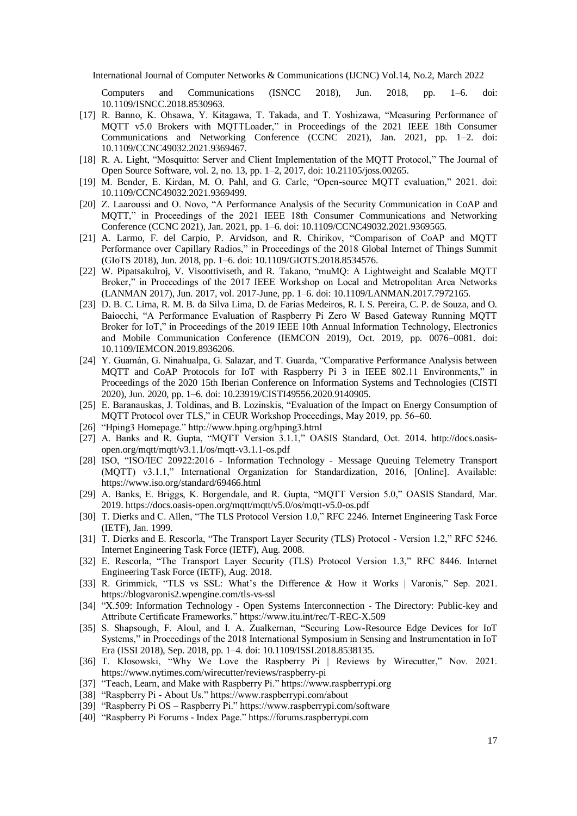Computers and Communications (ISNCC 2018), Jun. 2018, pp. 1–6. doi: 10.1109/ISNCC.2018.8530963.

- [17] R. Banno, K. Ohsawa, Y. Kitagawa, T. Takada, and T. Yoshizawa, "Measuring Performance of MQTT v5.0 Brokers with MQTTLoader," in Proceedings of the 2021 IEEE 18th Consumer Communications and Networking Conference (CCNC 2021), Jan. 2021, pp. 1–2. doi: 10.1109/CCNC49032.2021.9369467.
- [18] R. A. Light, "Mosquitto: Server and Client Implementation of the MQTT Protocol," The Journal of Open Source Software, vol. 2, no. 13, pp. 1–2, 2017, doi: 10.21105/joss.00265.
- [19] M. Bender, E. Kirdan, M. O. Pahl, and G. Carle, "Open-source MQTT evaluation," 2021. doi: 10.1109/CCNC49032.2021.9369499.
- [20] Z. Laaroussi and O. Novo, "A Performance Analysis of the Security Communication in CoAP and MQTT," in Proceedings of the 2021 IEEE 18th Consumer Communications and Networking Conference (CCNC 2021), Jan. 2021, pp. 1–6. doi: 10.1109/CCNC49032.2021.9369565.
- [21] A. Larmo, F. del Carpio, P. Arvidson, and R. Chirikov, "Comparison of CoAP and MQTT Performance over Capillary Radios," in Proceedings of the 2018 Global Internet of Things Summit (GIoTS 2018), Jun. 2018, pp. 1–6. doi: 10.1109/GIOTS.2018.8534576.
- [22] W. Pipatsakulroj, V. Visoottiviseth, and R. Takano, "muMQ: A Lightweight and Scalable MQTT Broker," in Proceedings of the 2017 IEEE Workshop on Local and Metropolitan Area Networks (LANMAN 2017), Jun. 2017, vol. 2017-June, pp. 1–6. doi: 10.1109/LANMAN.2017.7972165.
- [23] D. B. C. Lima, R. M. B. da Silva Lima, D. de Farias Medeiros, R. I. S. Pereira, C. P. de Souza, and O. Baiocchi, "A Performance Evaluation of Raspberry Pi Zero W Based Gateway Running MQTT Broker for IoT," in Proceedings of the 2019 IEEE 10th Annual Information Technology, Electronics and Mobile Communication Conference (IEMCON 2019), Oct. 2019, pp. 0076–0081. doi: 10.1109/IEMCON.2019.8936206.
- [24] Y. Guamán, G. Ninahualpa, G. Salazar, and T. Guarda, "Comparative Performance Analysis between MQTT and CoAP Protocols for IoT with Raspberry Pi 3 in IEEE 802.11 Environments," in Proceedings of the 2020 15th Iberian Conference on Information Systems and Technologies (CISTI 2020), Jun. 2020, pp. 1–6. doi: 10.23919/CISTI49556.2020.9140905.
- [25] E. Baranauskas, J. Toldinas, and B. Lozinskis, "Evaluation of the Impact on Energy Consumption of MQTT Protocol over TLS," in CEUR Workshop Proceedings, May 2019, pp. 56–60.
- [26] "Hping3 Homepage." http://www.hping.org/hping3.html
- [27] A. Banks and R. Gupta, "MQTT Version 3.1.1," OASIS Standard, Oct. 2014. http://docs.oasisopen.org/mqtt/mqtt/v3.1.1/os/mqtt-v3.1.1-os.pdf
- [28] ISO, "ISO/IEC 20922:2016 Information Technology Message Queuing Telemetry Transport (MQTT) v3.1.1," International Organization for Standardization, 2016, [Online]. Available: https://www.iso.org/standard/69466.html
- [29] A. Banks, E. Briggs, K. Borgendale, and R. Gupta, "MQTT Version 5.0," OASIS Standard, Mar. 2019. https://docs.oasis-open.org/mqtt/mqtt/v5.0/os/mqtt-v5.0-os.pdf
- [30] T. Dierks and C. Allen, "The TLS Protocol Version 1.0," RFC 2246. Internet Engineering Task Force (IETF), Jan. 1999.
- [31] T. Dierks and E. Rescorla, "The Transport Layer Security (TLS) Protocol Version 1.2," RFC 5246. Internet Engineering Task Force (IETF), Aug. 2008.
- [32] E. Rescorla, "The Transport Layer Security (TLS) Protocol Version 1.3," RFC 8446. Internet Engineering Task Force (IETF), Aug. 2018.
- [33] R. Grimmick, "TLS vs SSL: What's the Difference & How it Works | Varonis," Sep. 2021. https://blogvaronis2.wpengine.com/tls-vs-ssl
- [34] "X.509: Information Technology Open Systems Interconnection The Directory: Public-key and Attribute Certificate Frameworks." https://www.itu.int/rec/T-REC-X.509
- [35] S. Shapsough, F. Aloul, and I. A. Zualkernan, "Securing Low-Resource Edge Devices for IoT Systems," in Proceedings of the 2018 International Symposium in Sensing and Instrumentation in IoT Era (ISSI 2018), Sep. 2018, pp. 1–4. doi: 10.1109/ISSI.2018.8538135.
- [36] T. Klosowski, "Why We Love the Raspberry Pi | Reviews by Wirecutter," Nov. 2021. https://www.nytimes.com/wirecutter/reviews/raspberry-pi
- [37] "Teach, Learn, and Make with Raspberry Pi." https://www.raspberrypi.org
- [38] "Raspberry Pi About Us." https://www.raspberrypi.com/about
- [39] "Raspberry Pi OS Raspberry Pi." https://www.raspberrypi.com/software
- [40] "Raspberry Pi Forums Index Page." https://forums.raspberrypi.com